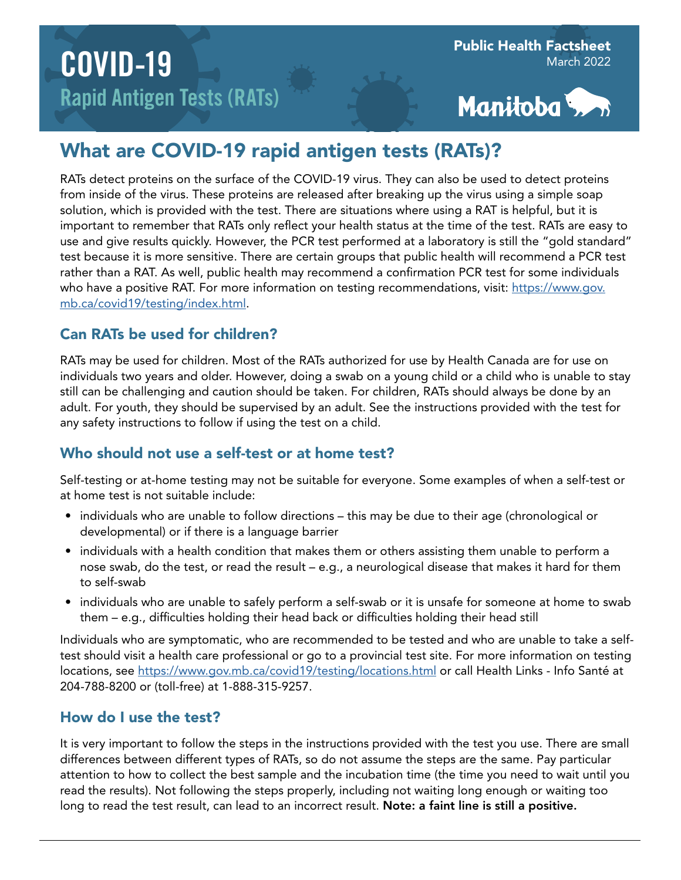

# What are COVID-19 rapid antigen tests (RATs)?

RATs detect proteins on the surface of the COVID-19 virus. They can also be used to detect proteins from inside of the virus. These proteins are released after breaking up the virus using a simple soap solution, which is provided with the test. There are situations where using a RAT is helpful, but it is important to remember that RATs only reflect your health status at the time of the test. RATs are easy to use and give results quickly. However, the PCR test performed at a laboratory is still the "gold standard" test because it is more sensitive. There are certain groups that public health will recommend a PCR test rather than a RAT. As well, public health may recommend a confirmation PCR test for some individuals who have a positive RAT. For more information on testing recommendations, visit: [https://www.gov.](https://www.gov.mb.ca/covid19/testing/index.html) [mb.ca/covid19/testing/index.html](https://www.gov.mb.ca/covid19/testing/index.html).

## Can RATs be used for children?

RATs may be used for children. Most of the RATs authorized for use by Health Canada are for use on individuals two years and older. However, doing a swab on a young child or a child who is unable to stay still can be challenging and caution should be taken. For children, RATs should always be done by an adult. For youth, they should be supervised by an adult. See the instructions provided with the test for any safety instructions to follow if using the test on a child.

## Who should not use a self-test or at home test?

Self-testing or at-home testing may not be suitable for everyone. Some examples of when a self-test or at home test is not suitable include:

- individuals who are unable to follow directions this may be due to their age (chronological or developmental) or if there is a language barrier
- individuals with a health condition that makes them or others assisting them unable to perform a nose swab, do the test, or read the result – e.g., a neurological disease that makes it hard for them to self-swab
- individuals who are unable to safely perform a self-swab or it is unsafe for someone at home to swab them – e.g., difficulties holding their head back or difficulties holding their head still

Individuals who are symptomatic, who are recommended to be tested and who are unable to take a selftest should visit a health care professional or go to a provincial test site. For more information on testing locations, see<https://www.gov.mb.ca/covid19/testing/locations.html>or call Health Links - Info Santé at 204-788-8200 or (toll-free) at 1-888-315-9257.

## How do I use the test?

It is very important to follow the steps in the instructions provided with the test you use. There are small differences between different types of RATs, so do not assume the steps are the same. Pay particular attention to how to collect the best sample and the incubation time (the time you need to wait until you read the results). Not following the steps properly, including not waiting long enough or waiting too long to read the test result, can lead to an incorrect result. Note: a faint line is still a positive.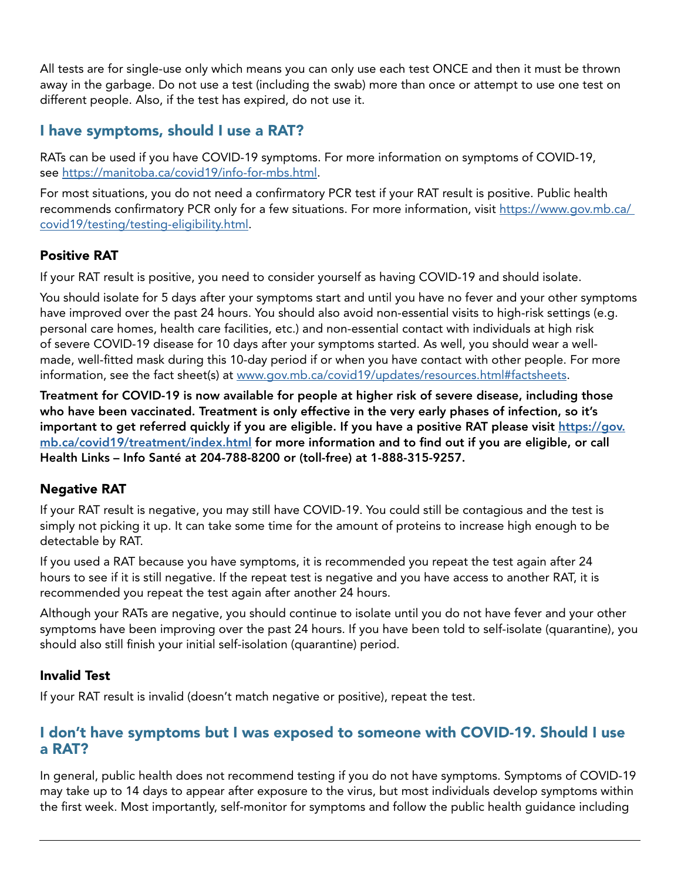All tests are for single-use only which means you can only use each test ONCE and then it must be thrown away in the garbage. Do not use a test (including the swab) more than once or attempt to use one test on different people. Also, if the test has expired, do not use it.

## I have symptoms, should I use a RAT?

RATs can be used if you have COVID-19 symptoms. For more information on symptoms of COVID-19, see <https://manitoba.ca/covid19/info-for-mbs.html>.

For most situations, you do not need a confirmatory PCR test if your RAT result is positive. Public health recommends confirmatory PCR only for a few situations. For more information, visit [https://www.gov.mb.ca/](https://www.gov.mb.ca/ covid19/testing/testing-eligibility.html)  [covid19/testing/testing-eligibility.html](https://www.gov.mb.ca/ covid19/testing/testing-eligibility.html).

### Positive RAT

If your RAT result is positive, you need to consider yourself as having COVID-19 and should isolate.

You should isolate for 5 days after your symptoms start and until you have no fever and your other symptoms have improved over the past 24 hours. You should also avoid non-essential visits to high-risk settings (e.g. personal care homes, health care facilities, etc.) and non-essential contact with individuals at high risk of severe COVID-19 disease for 10 days after your symptoms started. As well, you should wear a wellmade, well-fitted mask during this 10-day period if or when you have contact with other people. For more information, see the fact sheet(s) at [www.gov.mb.ca/covid19/updates/resources.html#factsheets.](http://www.gov.mb.ca/covid19/updates/resources.html#factsheets)

Treatment for COVID-19 is now available for people at higher risk of severe disease, including those who have been vaccinated. Treatment is only effective in the very early phases of infection, so it's important to get referred quickly if you are eligible. If you have a positive RAT please visit [https://gov.](https://gov.mb.ca/covid19/treatment/index.html) [mb.ca/covid19/treatment/index.html](https://gov.mb.ca/covid19/treatment/index.html) for more information and to find out if you are eligible, or call Health Links – Info Santé at 204-788-8200 or (toll-free) at 1-888-315-9257.

### Negative RAT

If your RAT result is negative, you may still have COVID-19. You could still be contagious and the test is simply not picking it up. It can take some time for the amount of proteins to increase high enough to be detectable by RAT.

If you used a RAT because you have symptoms, it is recommended you repeat the test again after 24 hours to see if it is still negative. If the repeat test is negative and you have access to another RAT, it is recommended you repeat the test again after another 24 hours.

Although your RATs are negative, you should continue to isolate until you do not have fever and your other symptoms have been improving over the past 24 hours. If you have been told to self-isolate (quarantine), you should also still finish your initial self-isolation (quarantine) period.

### Invalid Test

If your RAT result is invalid (doesn't match negative or positive), repeat the test.

### I don't have symptoms but I was exposed to someone with COVID-19. Should I use a RAT?

In general, public health does not recommend testing if you do not have symptoms. Symptoms of COVID-19 may take up to 14 days to appear after exposure to the virus, but most individuals develop symptoms within the first week. Most importantly, self-monitor for symptoms and follow the public health guidance including